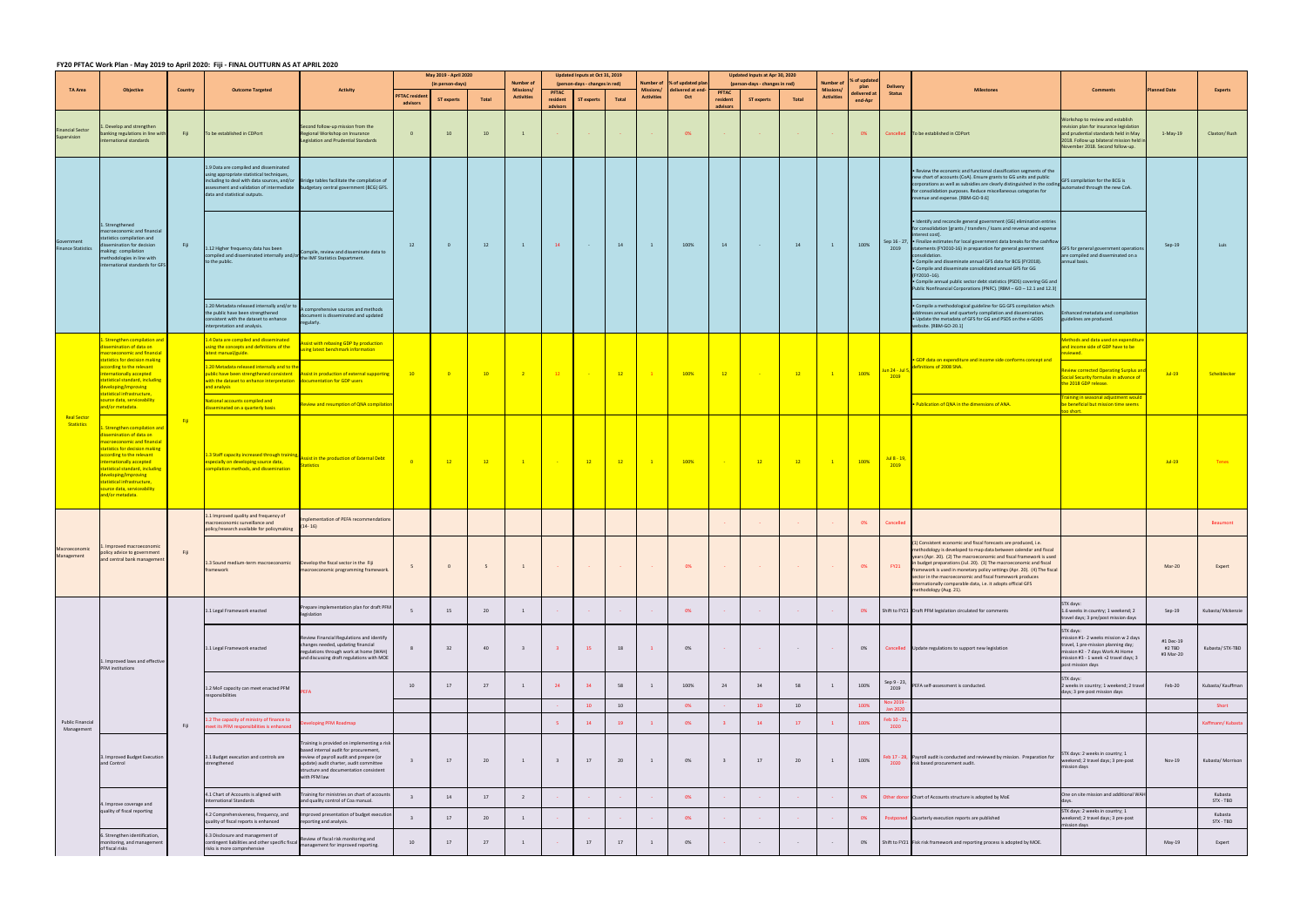## **FY20 PFTAC Work Plan ‐ May 2019 to April 2020: Fiji ‐ FINAL OUTTURN AS AT APRIL 2020**

|                                         |                                                                                                                                                                                                                                                                                                                                                                                                                                                                                                                                                                                                                                                                          | Country | <b>Outcome Targeted</b>                                                                                                                                                                                                                                                                                                                  |                                                                                                                                                                                                                                    | May 2019 - April 2020                                                                                                                                                        |                                                | Number of | Updated Inputs at Oct 31, 2019        |              | Number of                                                                | % of updated plar           | Updated Inputs at Apr 30, 2020<br>(person-days - changes in red) |                                                                                                                                                                        |                         | Number of                              |        |                                       |                                |                                  |                                                                                                                                                                                                                                                                                                                                                                                                                                                                                                                                                                                                                                     |                                                                                                                       |             |                      |                                                                                                                                                                                                                                                                                                                                                                                                                                              |                                |    |    |                                                             |                                                                                         |                                                                                                                                                                                            |                                  |
|-----------------------------------------|--------------------------------------------------------------------------------------------------------------------------------------------------------------------------------------------------------------------------------------------------------------------------------------------------------------------------------------------------------------------------------------------------------------------------------------------------------------------------------------------------------------------------------------------------------------------------------------------------------------------------------------------------------------------------|---------|------------------------------------------------------------------------------------------------------------------------------------------------------------------------------------------------------------------------------------------------------------------------------------------------------------------------------------------|------------------------------------------------------------------------------------------------------------------------------------------------------------------------------------------------------------------------------------|------------------------------------------------------------------------------------------------------------------------------------------------------------------------------|------------------------------------------------|-----------|---------------------------------------|--------------|--------------------------------------------------------------------------|-----------------------------|------------------------------------------------------------------|------------------------------------------------------------------------------------------------------------------------------------------------------------------------|-------------------------|----------------------------------------|--------|---------------------------------------|--------------------------------|----------------------------------|-------------------------------------------------------------------------------------------------------------------------------------------------------------------------------------------------------------------------------------------------------------------------------------------------------------------------------------------------------------------------------------------------------------------------------------------------------------------------------------------------------------------------------------------------------------------------------------------------------------------------------------|-----------------------------------------------------------------------------------------------------------------------|-------------|----------------------|----------------------------------------------------------------------------------------------------------------------------------------------------------------------------------------------------------------------------------------------------------------------------------------------------------------------------------------------------------------------------------------------------------------------------------------------|--------------------------------|----|----|-------------------------------------------------------------|-----------------------------------------------------------------------------------------|--------------------------------------------------------------------------------------------------------------------------------------------------------------------------------------------|----------------------------------|
| <b>TA Area</b>                          | Objective                                                                                                                                                                                                                                                                                                                                                                                                                                                                                                                                                                                                                                                                |         |                                                                                                                                                                                                                                                                                                                                          | Activity                                                                                                                                                                                                                           | <b>PFTAC residen</b>                                                                                                                                                         | (in person-days)<br><b>ST experts</b><br>Total |           | <b>Missions/</b><br><b>Activities</b> | <b>PFTAC</b> | (person-days - changes in red)<br>resident<br><b>ST experts</b><br>Total |                             | Missions/<br><b>Activities</b>                                   | delivered at end-<br>Oct                                                                                                                                               | <b>PFTAC</b>            | resident<br><b>ST experts</b><br>Total |        | <b>Missions/</b><br><b>Activities</b> | plan<br>lelivered a<br>end-Apr | <b>Delivery</b><br><b>Status</b> | <b>Milestones</b>                                                                                                                                                                                                                                                                                                                                                                                                                                                                                                                                                                                                                   | <b>Comments</b>                                                                                                       | lanned Date | <b>Experts</b>       |                                                                                                                                                                                                                                                                                                                                                                                                                                              |                                |    |    |                                                             |                                                                                         |                                                                                                                                                                                            |                                  |
| inancial Sector                         | Develop and strengthen                                                                                                                                                                                                                                                                                                                                                                                                                                                                                                                                                                                                                                                   |         |                                                                                                                                                                                                                                                                                                                                          | Second follow-up mission from the                                                                                                                                                                                                  | advisors                                                                                                                                                                     |                                                |           |                                       |              |                                                                          |                             |                                                                  |                                                                                                                                                                        |                         |                                        |        |                                       |                                |                                  |                                                                                                                                                                                                                                                                                                                                                                                                                                                                                                                                                                                                                                     | Workshop to review and establish<br>revision plan for insurance legislation                                           |             |                      |                                                                                                                                                                                                                                                                                                                                                                                                                                              |                                |    |    |                                                             |                                                                                         |                                                                                                                                                                                            |                                  |
| Supervision                             | anking regulations in line with<br>ternational standards                                                                                                                                                                                                                                                                                                                                                                                                                                                                                                                                                                                                                 | Fiji    | To be established in CDPort                                                                                                                                                                                                                                                                                                              | Regional Workshop on Insurance<br><b>Legislation and Prudential Standards</b>                                                                                                                                                      | $\overline{0}$                                                                                                                                                               | 10                                             | 10        | 1                                     |              |                                                                          |                             |                                                                  | - 0%                                                                                                                                                                   |                         |                                        |        |                                       | 0%                             |                                  | Cancelled To be established in CDPort                                                                                                                                                                                                                                                                                                                                                                                                                                                                                                                                                                                               | and prudential standards held in May<br>2018. Follow up bilateral mission held in<br>November 2018. Second follow-up. | $1-May-19$  | Claxton/Rush         |                                                                                                                                                                                                                                                                                                                                                                                                                                              |                                |    |    |                                                             |                                                                                         |                                                                                                                                                                                            |                                  |
| Government<br><b>Finance Statistics</b> | Strengthened<br>nacroeconomic and financial<br>statistics compilation and<br>semination for decision<br>naking: compilation<br>nethodologies in line with<br>international standards for GF!                                                                                                                                                                                                                                                                                                                                                                                                                                                                             | Fiji    | 1.9 Data are compiled and disseminated<br>using appropriate statistical techniques,<br>data and statistical outputs.                                                                                                                                                                                                                     |                                                                                                                                                                                                                                    | including to deal with data sources, and/or Bridge tables facilitate the compilation of<br>assessment and validation of intermediate budgetary central government (BCG) GFS. |                                                |           |                                       |              |                                                                          |                             |                                                                  |                                                                                                                                                                        |                         |                                        |        |                                       |                                |                                  |                                                                                                                                                                                                                                                                                                                                                                                                                                                                                                                                                                                                                                     |                                                                                                                       |             |                      | . Review the economic and functional classification segments of the<br>new chart of accounts (CoA). Ensure grants to GG units and public<br>corporations as well as subsidies are clearly distinguished in the coding<br>corporations as well as subsidies are clearly distinguished in the coding<br>automated through the new CoA.<br>for consolidation purposes. Reduce miscellaneous categories for<br>revenue and expense. [RBM-GO-9.6] | GFS compilation for the BCG is |    |    |                                                             |                                                                                         |                                                                                                                                                                                            |                                  |
|                                         |                                                                                                                                                                                                                                                                                                                                                                                                                                                                                                                                                                                                                                                                          |         | 1.12 Higher frequency data has been<br>1.12 higher riequency data has been<br>compiled and disseminated internally and/or<br>the IMF Statistics Department.<br>to the public.                                                                                                                                                            |                                                                                                                                                                                                                                    | 12                                                                                                                                                                           | - 0                                            | 12        | $\mathbf{1}$                          | 14           | $\sim 100$                                                               | 14                          | $\mathbf{1}$                                                     | 100%                                                                                                                                                                   | 14                      | $\sim 100$                             | 14     | $\mathbf{1}$                          | 100%                           | 2019                             | · Identify and reconcile general government (GG) elimination entries<br>for consolidation [grants / transfers / loans and revenue and expense<br>interest cost].<br>Sep 16 - 27, . Finalize estimates for local government data breaks for the cashflow<br>statements (FY2010-16) in preparation for general government<br>consolidation<br>· Compile and disseminate annual GFS data for BCG (FY2018).<br>. Compile and disseminate consolidated annual GFS for GG<br>(FY2010-16).<br>. Compile annual public sector debt statistics (PSDS) covering GG and<br>Public Nonfinancial Corporations (PNFC). [RBM - GO - 12.1 and 12.3] | GFS for general government operations<br>are compiled and disseminated on a<br>annual basis.                          | $Sep-19$    | Luis                 |                                                                                                                                                                                                                                                                                                                                                                                                                                              |                                |    |    |                                                             |                                                                                         |                                                                                                                                                                                            |                                  |
|                                         |                                                                                                                                                                                                                                                                                                                                                                                                                                                                                                                                                                                                                                                                          |         | 1.20 Metadata released internally and/or to<br>the public have been strengthened<br>consistent with the dataset to enhance<br>nterpretation and analysis.                                                                                                                                                                                | A comprehensive sources and methods<br>ocument is disseminated and updated                                                                                                                                                         |                                                                                                                                                                              |                                                |           |                                       |              |                                                                          |                             |                                                                  |                                                                                                                                                                        |                         |                                        |        |                                       |                                |                                  | · Compile a methodological guideline for GG GFS compilation which<br>addresses annual and quarterly compilation and dissemination.<br>. Update the metadata of GFS for GG and PSDS on the e-GDDS<br>website. [RBM-GO-20.1]                                                                                                                                                                                                                                                                                                                                                                                                          | Enhanced metadata and compilation<br>uidelines are produced.                                                          |             |                      |                                                                                                                                                                                                                                                                                                                                                                                                                                              |                                |    |    |                                                             |                                                                                         |                                                                                                                                                                                            |                                  |
| <b>Real Sector</b><br>Statistics        | <b>Strengthen compilation an</b><br>issemination of data on<br>nacroeconomic and financia<br>statistics for decision making<br>according to the relevant<br>nternationally accepted<br>statistical standard, including<br>developing/improving<br>statistical infrastructure,<br>source data, serviceability<br>and/or metadata.<br><b>Strengthen compilation and</b><br>ssemination of data on<br>acroeconomic and financia<br>atistics for decision making<br>cording to the relevant<br>ternationally accepted<br>tatistical standard, including<br>eveloping/improving<br><mark>tatistical infrastructure,</mark><br>source data, serviceability<br>and/or metadata. |         | 4 Data are compiled and disseminated<br>sing the concepts and definitions of the<br>atest manual/guide.<br>.20 Metadata released internally and to the<br>bublic have been strengthened consistent Assist in production of external supporting<br>with the dataset to enhance interpretation documentation for GDP users<br>and analysis | ist with rebasing GDP by production<br>ing latest benchmark information                                                                                                                                                            |                                                                                                                                                                              |                                                |           |                                       |              |                                                                          |                             |                                                                  |                                                                                                                                                                        |                         |                                        |        |                                       |                                |                                  | GDP data on expenditure and income side conforms concept and                                                                                                                                                                                                                                                                                                                                                                                                                                                                                                                                                                        | <b>Methods and data used on expenditu</b><br>and income side of GDP have to be<br>iewed                               |             |                      |                                                                                                                                                                                                                                                                                                                                                                                                                                              |                                |    |    |                                                             |                                                                                         |                                                                                                                                                                                            |                                  |
|                                         |                                                                                                                                                                                                                                                                                                                                                                                                                                                                                                                                                                                                                                                                          | Fiji    |                                                                                                                                                                                                                                                                                                                                          |                                                                                                                                                                                                                                    | $\frac{10}{2}$                                                                                                                                                               | $^{\circ}$                                     | 10        | $\overline{\phantom{0}}$ 2            | $-12$        | <b>College</b>                                                           | 12                          | $\mathbf{1}$                                                     | 100%                                                                                                                                                                   | 12                      | $\sim$ 100 $\pm$                       | 12     | $\mathbf{1}$                          | 100%                           | <b>Jun 24 - Jul</b><br>2019      | lefinitions of 2008 SNA.                                                                                                                                                                                                                                                                                                                                                                                                                                                                                                                                                                                                            | <b>Review corrected Operating Surplus an</b><br>Social Security formulas in advance of<br>the 2018 GDP release.       | $Jul-19$    | Scheiblecker         |                                                                                                                                                                                                                                                                                                                                                                                                                                              |                                |    |    |                                                             |                                                                                         |                                                                                                                                                                                            |                                  |
|                                         |                                                                                                                                                                                                                                                                                                                                                                                                                                                                                                                                                                                                                                                                          |         | National accounts compiled and<br>isseminated on a quarterly basis                                                                                                                                                                                                                                                                       | eview and resumption of QNA compilatio                                                                                                                                                                                             |                                                                                                                                                                              |                                                |           |                                       |              |                                                                          |                             |                                                                  |                                                                                                                                                                        |                         |                                        |        |                                       |                                |                                  | . Publication of QNA in the dimensions of ANA.                                                                                                                                                                                                                                                                                                                                                                                                                                                                                                                                                                                      | raining in seasonal adjustment would<br>be beneficial but mission time seems<br>o short.                              |             |                      |                                                                                                                                                                                                                                                                                                                                                                                                                                              |                                |    |    |                                                             |                                                                                         |                                                                                                                                                                                            |                                  |
|                                         |                                                                                                                                                                                                                                                                                                                                                                                                                                                                                                                                                                                                                                                                          |         | .3 Staff capacity increased through training<br>especially on developing source data,<br>compilation methods, and dissemination                                                                                                                                                                                                          | ssist in the production of External Debt<br>atistics                                                                                                                                                                               | $\blacksquare$                                                                                                                                                               | 12                                             | 12        | $\blacksquare$                        |              | 12                                                                       | 12                          |                                                                  | 100%                                                                                                                                                                   | <b>Contract</b>         | $\frac{12}{2}$                         | 12     | $\blacksquare$                        | 100%                           | Jul 8 - 19<br>2019               |                                                                                                                                                                                                                                                                                                                                                                                                                                                                                                                                                                                                                                     |                                                                                                                       | $Jul-19$    | Tenes                |                                                                                                                                                                                                                                                                                                                                                                                                                                              |                                |    |    |                                                             |                                                                                         |                                                                                                                                                                                            |                                  |
|                                         | . Improved macroeconomic<br>policy advice to government<br>central bank man                                                                                                                                                                                                                                                                                                                                                                                                                                                                                                                                                                                              | Fiji    | 1.1 Improved quality and frequency of<br>macroeconomic surveillance and<br>policy/research available for policymaking                                                                                                                                                                                                                    | mplementation of PEFA recommendations<br>$(14 - 16)$                                                                                                                                                                               |                                                                                                                                                                              |                                                |           |                                       |              |                                                                          |                             |                                                                  |                                                                                                                                                                        |                         |                                        |        |                                       | 0%                             | Cancelled                        |                                                                                                                                                                                                                                                                                                                                                                                                                                                                                                                                                                                                                                     |                                                                                                                       |             | Beaumont             |                                                                                                                                                                                                                                                                                                                                                                                                                                              |                                |    |    |                                                             |                                                                                         |                                                                                                                                                                                            |                                  |
| Macroeconomic<br>Management             |                                                                                                                                                                                                                                                                                                                                                                                                                                                                                                                                                                                                                                                                          |         | 1.3 Sound medium-term macroeconomic<br>framework                                                                                                                                                                                                                                                                                         | Develop the fiscal sector in the Fiji<br>macroeconomic programming framework.                                                                                                                                                      |                                                                                                                                                                              |                                                | -5        |                                       |              |                                                                          |                             |                                                                  | 0%                                                                                                                                                                     |                         |                                        |        |                                       | 0%                             | <b>FY21</b>                      | (1) Consistent economic and fiscal forecasts are produced, i.e.<br>methodology is developed to map data between calendar and fiscal<br>years (Apr. 20). (2) The macroeconomic and fiscal framework is used<br>in budget preparations (Jul. 20). (3) The macroeconomic and fiscal<br>ramework is used in monetary policy settings (Apr. 20). (4) The fiscal<br>sector in the macroeconomic and fiscal framework produces<br>internationally comparable data, i.e. it adopts official GFS<br>methodology (Aug. 21).                                                                                                                   |                                                                                                                       | Mar-20      | Expert               |                                                                                                                                                                                                                                                                                                                                                                                                                                              |                                |    |    |                                                             |                                                                                         |                                                                                                                                                                                            |                                  |
|                                         |                                                                                                                                                                                                                                                                                                                                                                                                                                                                                                                                                                                                                                                                          |         |                                                                                                                                                                                                                                                                                                                                          |                                                                                                                                                                                                                                    |                                                                                                                                                                              |                                                |           |                                       |              |                                                                          | 1.1 Legal Framework enacted | Prepare implementation plan for draft PFM<br>legislation         | -5                                                                                                                                                                     | 15                      | 20                                     | 1      |                                       |                                |                                  |                                                                                                                                                                                                                                                                                                                                                                                                                                                                                                                                                                                                                                     | 0%                                                                                                                    |             | <b>Contract</b>      |                                                                                                                                                                                                                                                                                                                                                                                                                                              |                                | 0% |    | Shift to FY21 Draft PFM legislation circulated for comments | STX days:<br>1.6 weeks in country; 1 weekend; 2<br>travel days; 3 pre/post mission days | Sep-19                                                                                                                                                                                     | Kubasta/ Mckenzie                |
|                                         | Improved laws and effective<br>PFM institutions                                                                                                                                                                                                                                                                                                                                                                                                                                                                                                                                                                                                                          |         |                                                                                                                                                                                                                                                                                                                                          |                                                                                                                                                                                                                                    |                                                                                                                                                                              |                                                |           |                                       |              |                                                                          |                             | 1.1 Legal Framework enacted                                      | Review Financial Regulations and identify<br>changes needed, updating financial<br>regulations through work at home (WAH)<br>and discussing draft regulations with MOE |                         | 32                                     | 40     | $\overline{\mathbf{3}}$               |                                | 15                               | 18                                                                                                                                                                                                                                                                                                                                                                                                                                                                                                                                                                                                                                  | $\mathbf{1}$                                                                                                          | 0%          | <b>Contract</b>      | <b>Contract</b>                                                                                                                                                                                                                                                                                                                                                                                                                              | $\sim 100$ km s $^{-1}$        |    | 0% |                                                             | Cancelled Update regulations to support new legislation                                 | STX days:<br>mission #1- 2 weeks mission w 2 days<br>travel, 1 pre-mission planning day;<br>mission #2 - 7 days Work At Home<br>mission #3 - 1 week +2 travel days; 3<br>post mission days | #1 Dec-19<br>#2 TBD<br>#3 Mar-20 |
|                                         |                                                                                                                                                                                                                                                                                                                                                                                                                                                                                                                                                                                                                                                                          |         | 1.2 MoF capacity can meet enacted PFM<br>responsibilities                                                                                                                                                                                                                                                                                |                                                                                                                                                                                                                                    | 10                                                                                                                                                                           | 17                                             | 27        | 1                                     | 24           |                                                                          | 58                          |                                                                  | 100%                                                                                                                                                                   | 24                      | 34                                     | 58     |                                       | 100%                           | Sep 9 - 23,<br>2019              | PEFA self-assessment is conducted.                                                                                                                                                                                                                                                                                                                                                                                                                                                                                                                                                                                                  | STX days:<br>2 weeks in country; 1 weekend; 2 travel<br>days; 3 pre-post mission days                                 | Feb-20      | Kubasta/ Kauffman    |                                                                                                                                                                                                                                                                                                                                                                                                                                              |                                |    |    |                                                             |                                                                                         |                                                                                                                                                                                            |                                  |
|                                         |                                                                                                                                                                                                                                                                                                                                                                                                                                                                                                                                                                                                                                                                          |         |                                                                                                                                                                                                                                                                                                                                          |                                                                                                                                                                                                                                    |                                                                                                                                                                              |                                                |           |                                       |              | 10                                                                       | 10                          |                                                                  | 0%                                                                                                                                                                     |                         | 10                                     | 10     |                                       | 100%                           | Jan 2020                         |                                                                                                                                                                                                                                                                                                                                                                                                                                                                                                                                                                                                                                     |                                                                                                                       |             | Short                |                                                                                                                                                                                                                                                                                                                                                                                                                                              |                                |    |    |                                                             |                                                                                         |                                                                                                                                                                                            |                                  |
| <b>Public Financial</b><br>Management   | 3. Improved Budget Execution<br>and Control                                                                                                                                                                                                                                                                                                                                                                                                                                                                                                                                                                                                                              | Fiji    | 1.2 The capacity of ministry of finance to<br>meet its PFM responsibilities is enhanced                                                                                                                                                                                                                                                  | loping PFM Roadmap                                                                                                                                                                                                                 |                                                                                                                                                                              |                                                |           |                                       |              | 14                                                                       | 19                          |                                                                  | 0%                                                                                                                                                                     | $\overline{3}$          | 14                                     | 17     |                                       | 100%                           | eb 10 - 21<br>2020               |                                                                                                                                                                                                                                                                                                                                                                                                                                                                                                                                                                                                                                     |                                                                                                                       |             | Kaffmann/ Kubasta    |                                                                                                                                                                                                                                                                                                                                                                                                                                              |                                |    |    |                                                             |                                                                                         |                                                                                                                                                                                            |                                  |
|                                         |                                                                                                                                                                                                                                                                                                                                                                                                                                                                                                                                                                                                                                                                          |         | 3.1 Budget execution and controls are<br>strengthened                                                                                                                                                                                                                                                                                    | Fraining is provided on implementing a risk<br>based internal audit for procurement,<br>review of payroll audit and prepare (or<br>update) audit charter, audit committee<br>tructure and documentation consistent<br>with PFM law |                                                                                                                                                                              | 17                                             | 20        | $\mathbf{1}$                          |              | 17                                                                       | 20                          |                                                                  | 0%                                                                                                                                                                     | $\overline{\mathbf{3}}$ | 17                                     | 20     |                                       | 100%                           | 2020                             | eb 17 - 28, Payroll audit is conducted and reviewed by mission. Preparation for<br>risk based procurement audit.                                                                                                                                                                                                                                                                                                                                                                                                                                                                                                                    | TX days: 2 weeks in country; 1<br>eekend; 2 travel days; 3 pre-post<br>nission days                                   | Nov-19      | Kubasta/ Morrison    |                                                                                                                                                                                                                                                                                                                                                                                                                                              |                                |    |    |                                                             |                                                                                         |                                                                                                                                                                                            |                                  |
|                                         | . Improve coverage and                                                                                                                                                                                                                                                                                                                                                                                                                                                                                                                                                                                                                                                   |         | 4.1 Chart of Accounts is aligned with<br><b>International Standards</b>                                                                                                                                                                                                                                                                  | Training for ministries on chart of account:<br>and quality control of Coa manual.                                                                                                                                                 | $\overline{3}$                                                                                                                                                               | 14                                             | 17        | $\overline{2}$                        |              |                                                                          |                             |                                                                  | 0%                                                                                                                                                                     |                         |                                        |        |                                       | 0%                             |                                  | ther donor Chart of Accounts structure is adopted by MoE                                                                                                                                                                                                                                                                                                                                                                                                                                                                                                                                                                            | One on site mission and additional WAH                                                                                |             | Kubasta<br>STX - TBD |                                                                                                                                                                                                                                                                                                                                                                                                                                              |                                |    |    |                                                             |                                                                                         |                                                                                                                                                                                            |                                  |
|                                         | quality of fiscal reporting                                                                                                                                                                                                                                                                                                                                                                                                                                                                                                                                                                                                                                              |         | 4.2 Comprehensiveness, frequency, and<br>quality of fiscal reports is enhanced                                                                                                                                                                                                                                                           | mproved presentation of budget executior<br>reporting and analysis.                                                                                                                                                                | $\overline{3}$                                                                                                                                                               | 17                                             | 20        |                                       |              |                                                                          |                             |                                                                  | 0%                                                                                                                                                                     |                         |                                        |        |                                       | 0%                             |                                  | Postponed Quarterly execution reports are published                                                                                                                                                                                                                                                                                                                                                                                                                                                                                                                                                                                 | STX days: 2 weeks in country; 1<br>weekend; 2 travel days; 3 pre-post<br>ssion days                                   |             | Kubasta<br>STX - TBD |                                                                                                                                                                                                                                                                                                                                                                                                                                              |                                |    |    |                                                             |                                                                                         |                                                                                                                                                                                            |                                  |
|                                         | 6. Strengthen identification,<br>monitoring, and management<br>of fiscal risks                                                                                                                                                                                                                                                                                                                                                                                                                                                                                                                                                                                           |         | 6.3 Disclosure and management of<br>contingent liabilities and other specific fiscal<br>risks is more comprehensive                                                                                                                                                                                                                      | Review of fiscal risk monitoring and<br>management for improved reporting.                                                                                                                                                         | 10                                                                                                                                                                           | 17                                             | 27        | 1                                     |              | 17                                                                       | 17                          |                                                                  | 0%                                                                                                                                                                     |                         | $\sim$ 100 $\pm$                       | $\sim$ |                                       | 0%                             |                                  | Shift to FY21 Fisk risk framework and reporting process is adopted by MOE.                                                                                                                                                                                                                                                                                                                                                                                                                                                                                                                                                          |                                                                                                                       | May-19      | Expert               |                                                                                                                                                                                                                                                                                                                                                                                                                                              |                                |    |    |                                                             |                                                                                         |                                                                                                                                                                                            |                                  |